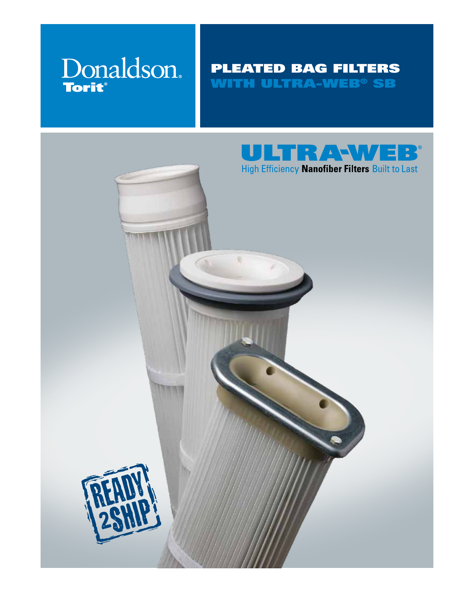

### Pleated bag filters WITH ULTRA-WEB® SB



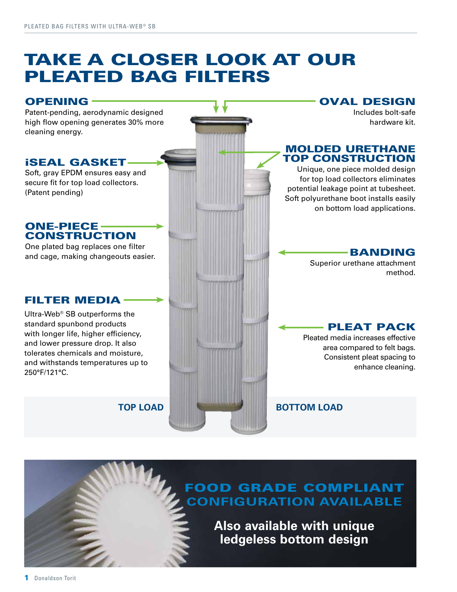## Take a closer look at our Pleated bag filters



**ledgeless bottom design**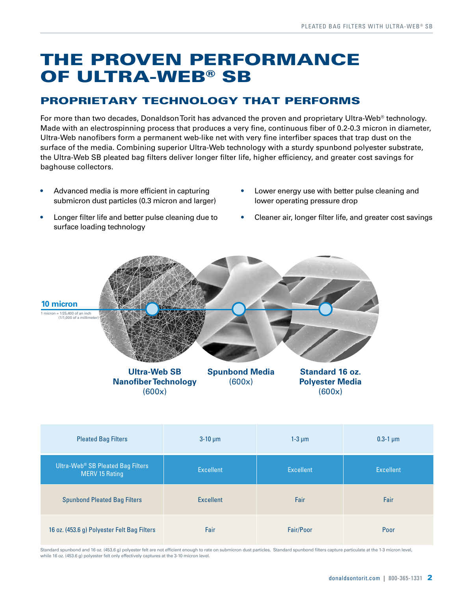## The proven performance OF ULTRA-WEB<sup>®</sup> SB

### Proprietary technology that performs

For more than two decades, Donaldson Torit has advanced the proven and proprietary Ultra-Web<sup>®</sup> technology. Made with an electrospinning process that produces a very fine, continuous fiber of 0.2-0.3 micron in diameter, Ultra-Web nanofibers form a permanent web-like net with very fine interfiber spaces that trap dust on the surface of the media. Combining superior Ultra-Web technology with a sturdy spunbond polyester substrate, the Ultra-Web SB pleated bag filters deliver longer filter life, higher efficiency, and greater cost savings for baghouse collectors.

- Advanced media is more efficient in capturing submicron dust particles (0.3 micron and larger)
- Longer filter life and better pulse cleaning due to surface loading technology
- Lower energy use with better pulse cleaning and lower operating pressure drop
- Cleaner air, longer filter life, and greater cost savings



| <b>Pleated Bag Filters</b>                                             | $3-10 \mu m$     | $1-3 \mu m$      | $0.3 - 1 \mu m$  |
|------------------------------------------------------------------------|------------------|------------------|------------------|
| Ultra-Web <sup>®</sup> SB Pleated Bag Filters<br><b>MERV 15 Rating</b> | <b>Excellent</b> | <b>Excellent</b> | <b>Excellent</b> |
| <b>Spunbond Pleated Bag Filters</b>                                    | <b>Excellent</b> | Fair             | Fair             |
| 16 oz. (453.6 g) Polyester Felt Bag Filters                            | Fair             | Fair/Poor        | Poor             |

Standard spunbond and 16 oz. (453.6 g) polyester felt are not efficient enough to rate on submicron dust particles. Standard spunbond filters capture particulate at the 1-3 micron level, while 16 oz. (453.6 g) polyester felt only effectively captures at the 3-10 micron level.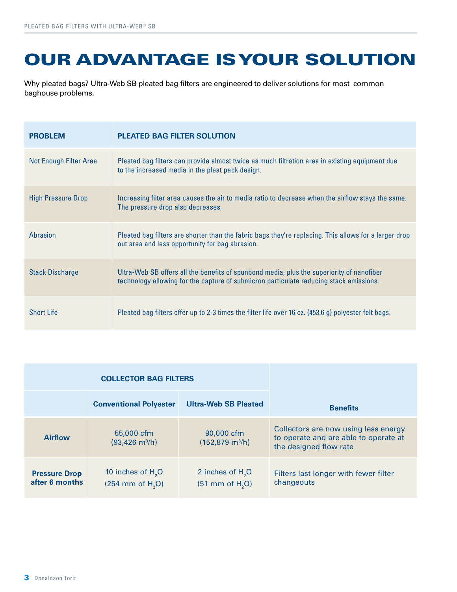# Our advantage is your solution

Why pleated bags? Ultra-Web SB pleated bag filters are engineered to deliver solutions for most common baghouse problems.

| <b>PROBLEM</b>            | <b>PLEATED BAG FILTER SOLUTION</b>                                                                                                                                                  |
|---------------------------|-------------------------------------------------------------------------------------------------------------------------------------------------------------------------------------|
| Not Enough Filter Area    | Pleated bag filters can provide almost twice as much filtration area in existing equipment due<br>to the increased media in the pleat pack design.                                  |
| <b>High Pressure Drop</b> | Increasing filter area causes the air to media ratio to decrease when the airflow stays the same.<br>The pressure drop also decreases.                                              |
| Abrasion                  | Pleated bag filters are shorter than the fabric bags they're replacing. This allows for a larger drop<br>out area and less opportunity for bag abrasion.                            |
| <b>Stack Discharge</b>    | Ultra-Web SB offers all the benefits of spunbond media, plus the superiority of nanofiber<br>technology allowing for the capture of submicron particulate reducing stack emissions. |
| <b>Short Life</b>         | Pleated bag filters offer up to 2-3 times the filter life over 16 oz. (453.6 g) polyester felt bags.                                                                                |

| <b>COLLECTOR BAG FILTERS</b>           |                                                    |                                                    |                                                                                                         |
|----------------------------------------|----------------------------------------------------|----------------------------------------------------|---------------------------------------------------------------------------------------------------------|
|                                        | <b>Conventional Polyester</b>                      | <b>Ultra-Web SB Pleated</b>                        | <b>Benefits</b>                                                                                         |
| <b>Airflow</b>                         | 55,000 cfm<br>$(93,426 \text{ m}^3/\text{h})$      | 90,000 cfm<br>$(152,879 \text{ m}^3/h)$            | Collectors are now using less energy<br>to operate and are able to operate at<br>the designed flow rate |
| <b>Pressure Drop</b><br>after 6 months | 10 inches of $H2O$<br>$(254 \, \text{mm of H}, 0)$ | 2 inches of $H2O$<br>$(51$ mm of H <sub>2</sub> O) | Filters last longer with fewer filter<br>changeouts                                                     |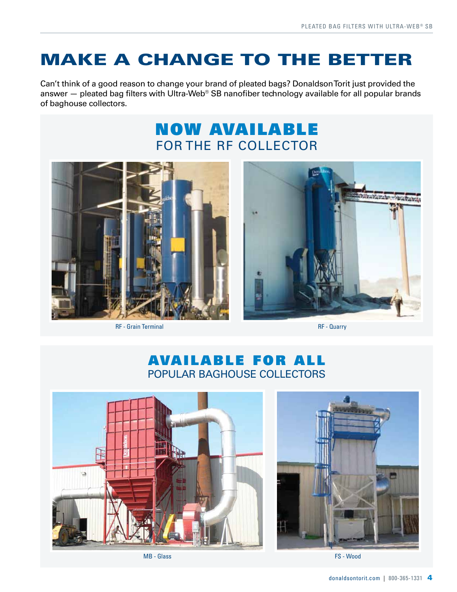## Make a change to the better

Can't think of a good reason to change your brand of pleated bags? Donaldson Torit just provided the answer – pleated bag filters with Ultra-Web<sup>®</sup> SB nanofiber technology available for all popular brands of baghouse collectors.

## NOW AVAILABLE For the RF Collector



RF - Grain Terminal



RF - Quarry

### AVAILABLE FOR ALL Popular baghouse collectors



MB - Glass



FS - Wood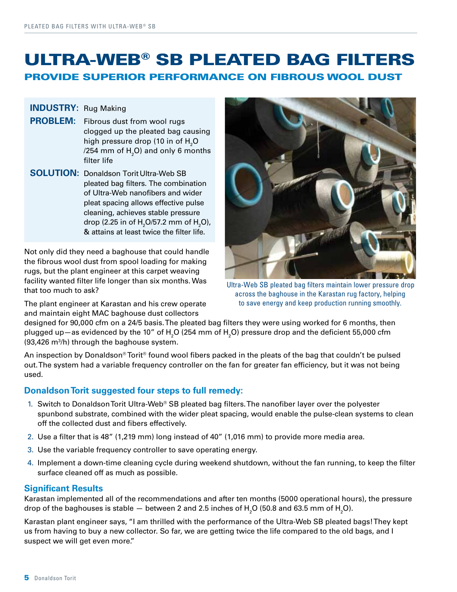### ultra-web® SB pleated bag filters provide superior performance on fibrous wool dust

### **INDUSTRY:** Rug Making

- **PROBLEM:** Fibrous dust from wool rugs clogged up the pleated bag causing high pressure drop (10 in of  ${\sf H}_{\sf 2}$ O /254 mm of  ${\sf H_2O}$ ) and only 6 months filter life
- **SOLUTION:** Donaldson Torit Ultra-Web SB pleated bag filters. The combination of Ultra-Web nanofibers and wider pleat spacing allows effective pulse cleaning, achieves stable pressure drop (2.25 in of  $\text{H}_{\tiny{2}}\text{O}$ /57.2 mm of  $\text{H}_{\tiny{2}}\text{O}$ ), & attains at least twice the filter life.

Not only did they need a baghouse that could handle the fibrous wool dust from spool loading for making rugs, but the plant engineer at this carpet weaving facility wanted filter life longer than six months. Was that too much to ask?

The plant engineer at Karastan and his crew operate and maintain eight MAC baghouse dust collectors



Ultra-Web SB pleated bag filters maintain lower pressure drop across the baghouse in the Karastan rug factory, helping to save energy and keep production running smoothly.

designed for 90,000 cfm on a 24/5 basis. The pleated bag filters they were using worked for 6 months, then plugged up—as evidenced by the 10" of H<sub>2</sub>O (254 mm of H<sub>2</sub>O) pressure drop and the deficient 55,000 cfm (93,426 m<sup>3</sup>/h) through the baghouse system.

An inspection by Donaldson® Torit® found wool fibers packed in the pleats of the bag that couldn't be pulsed out. The system had a variable frequency controller on the fan for greater fan efficiency, but it was not being used.

#### **Donaldson Torit suggested four steps to full remedy:**

- 1. Switch to Donaldson Torit Ultra-Web<sup>®</sup> SB pleated bag filters. The nanofiber layer over the polyester spunbond substrate, combined with the wider pleat spacing, would enable the pulse-clean systems to clean off the collected dust and fibers effectively.
- 2. Use a filter that is 48" (1,219 mm) long instead of 40" (1,016 mm) to provide more media area.
- 3. Use the variable frequency controller to save operating energy.
- 4. Implement a down-time cleaning cycle during weekend shutdown, without the fan running, to keep the filter surface cleaned off as much as possible.

#### **Significant Results**

Karastan implemented all of the recommendations and after ten months (5000 operational hours), the pressure drop of the baghouses is stable  $-$  between 2 and 2.5 inches of  ${\sf H_2O}$  (50.8 and 63.5 mm of  ${\sf H_2O}$ ).

Karastan plant engineer says, "I am thrilled with the performance of the Ultra-Web SB pleated bags! They kept us from having to buy a new collector. So far, we are getting twice the life compared to the old bags, and I suspect we will get even more."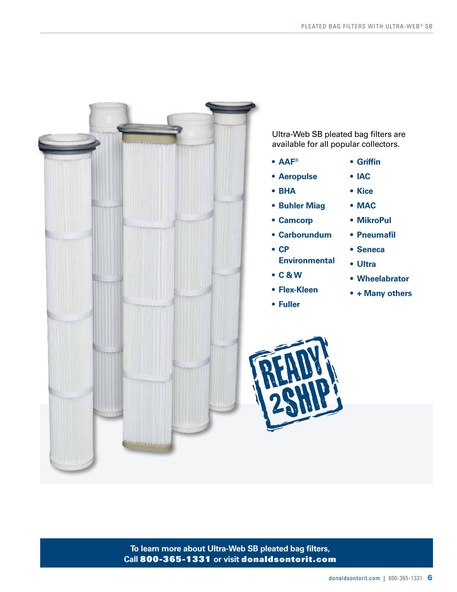

Ultra-Web SB pleated bag filters are available for all popular collectors.

- **• AAF®**
- **• Aeropulse**
- **• BHA**
- **• Buhler Miag**
- **• Camcorp**
- **• Carborundum**
- **• CP Environmental**
- **• C & W**
- **• Flex-Kleen**
- **• Fuller**

**• Kice**

**• Griffin**

**• IAC**

- **• MAC**
- **• MikroPul**
- **• Pneumafil**
- **• Seneca**
- **• Ultra**
- **• Wheelabrator**
- **• + Many others**



**To learn more about Ultra-Web SB pleated bag filters, Call** 800-365-1331 **or visit** donaldsontorit.com